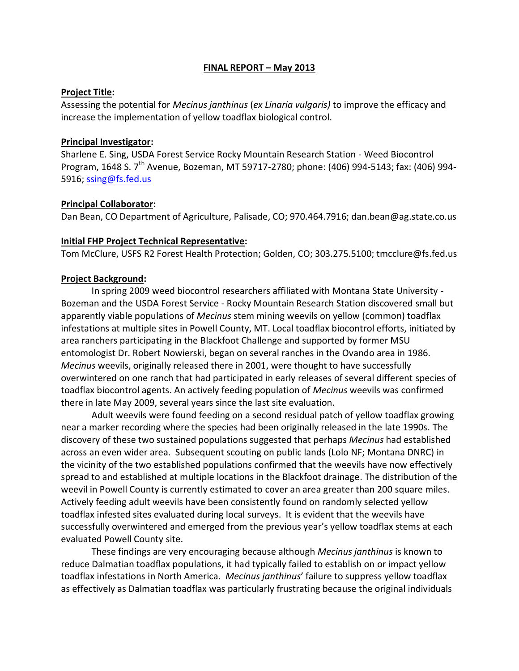#### **FINAL REPORT – May 2013**

#### **Project Title:**

Assessing the potential for *Mecinus janthinus* (*ex Linaria vulgaris)* to improve the efficacy and increase the implementation of yellow toadflax biological control.

#### **Principal Investigator:**

Sharlene E. Sing, USDA Forest Service Rocky Mountain Research Station - Weed Biocontrol Program, 1648 S. 7<sup>th</sup> Avenue, Bozeman, MT 59717-2780; phone: (406) 994-5143; fax: (406) 994-5916; [ssing@fs.fed.us](mailto:ssing@fs.fed.us)

#### **Principal Collaborator:**

Dan Bean, CO Department of Agriculture, Palisade, CO; 970.464.7916; dan.bean@ag.state.co.us

#### **Initial FHP Project Technical Representative:**

Tom McClure, USFS R2 Forest Health Protection; Golden, CO; 303.275.5100; tmcclure@fs.fed.us

### **Project Background:**

In spring 2009 weed biocontrol researchers affiliated with Montana State University - Bozeman and the USDA Forest Service - Rocky Mountain Research Station discovered small but apparently viable populations of *Mecinus* stem mining weevils on yellow (common) toadflax infestations at multiple sites in Powell County, MT. Local toadflax biocontrol efforts, initiated by area ranchers participating in the Blackfoot Challenge and supported by former MSU entomologist Dr. Robert Nowierski, began on several ranches in the Ovando area in 1986. *Mecinus* weevils, originally released there in 2001, were thought to have successfully overwintered on one ranch that had participated in early releases of several different species of toadflax biocontrol agents. An actively feeding population of *Mecinus* weevils was confirmed there in late May 2009, several years since the last site evaluation.

Adult weevils were found feeding on a second residual patch of yellow toadflax growing near a marker recording where the species had been originally released in the late 1990s. The discovery of these two sustained populations suggested that perhaps *Mecinus* had established across an even wider area. Subsequent scouting on public lands (Lolo NF; Montana DNRC) in the vicinity of the two established populations confirmed that the weevils have now effectively spread to and established at multiple locations in the Blackfoot drainage. The distribution of the weevil in Powell County is currently estimated to cover an area greater than 200 square miles. Actively feeding adult weevils have been consistently found on randomly selected yellow toadflax infested sites evaluated during local surveys. It is evident that the weevils have successfully overwintered and emerged from the previous year's yellow toadflax stems at each evaluated Powell County site.

These findings are very encouraging because although *Mecinus janthinus* is known to reduce Dalmatian toadflax populations, it had typically failed to establish on or impact yellow toadflax infestations in North America. *Mecinus janthinus*' failure to suppress yellow toadflax as effectively as Dalmatian toadflax was particularly frustrating because the original individuals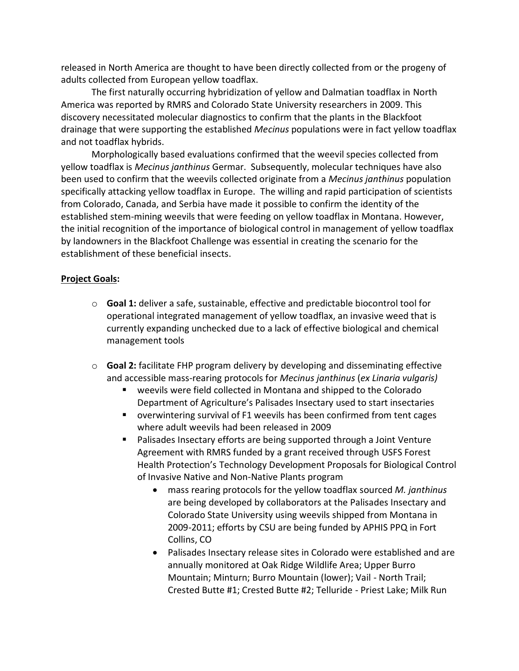released in North America are thought to have been directly collected from or the progeny of adults collected from European yellow toadflax.

The first naturally occurring hybridization of yellow and Dalmatian toadflax in North America was reported by RMRS and Colorado State University researchers in 2009. This discovery necessitated molecular diagnostics to confirm that the plants in the Blackfoot drainage that were supporting the established *Mecinus* populations were in fact yellow toadflax and not toadflax hybrids.

Morphologically based evaluations confirmed that the weevil species collected from yellow toadflax is *Mecinus janthinus* Germar. Subsequently, molecular techniques have also been used to confirm that the weevils collected originate from a *Mecinus janthinus* population specifically attacking yellow toadflax in Europe. The willing and rapid participation of scientists from Colorado, Canada, and Serbia have made it possible to confirm the identity of the established stem-mining weevils that were feeding on yellow toadflax in Montana. However, the initial recognition of the importance of biological control in management of yellow toadflax by landowners in the Blackfoot Challenge was essential in creating the scenario for the establishment of these beneficial insects.

## **Project Goals:**

- o **Goal 1:** deliver a safe, sustainable, effective and predictable biocontrol tool for operational integrated management of yellow toadflax, an invasive weed that is currently expanding unchecked due to a lack of effective biological and chemical management tools
- o **Goal 2:** facilitate FHP program delivery by developing and disseminating effective and accessible mass-rearing protocols for *Mecinus janthinus* (*ex Linaria vulgaris)*
	- weevils were field collected in Montana and shipped to the Colorado Department of Agriculture's Palisades Insectary used to start insectaries
	- overwintering survival of F1 weevils has been confirmed from tent cages where adult weevils had been released in 2009
	- Palisades Insectary efforts are being supported through a Joint Venture Agreement with RMRS funded by a grant received through USFS Forest Health Protection's Technology Development Proposals for Biological Control of Invasive Native and Non-Native Plants program
		- mass rearing protocols for the yellow toadflax sourced *M. janthinus* are being developed by collaborators at the Palisades Insectary and Colorado State University using weevils shipped from Montana in 2009-2011; efforts by CSU are being funded by APHIS PPQ in Fort Collins, CO
		- Palisades Insectary release sites in Colorado were established and are annually monitored at Oak Ridge Wildlife Area; Upper Burro Mountain; Minturn; Burro Mountain (lower); Vail - North Trail; Crested Butte #1; Crested Butte #2; Telluride - Priest Lake; Milk Run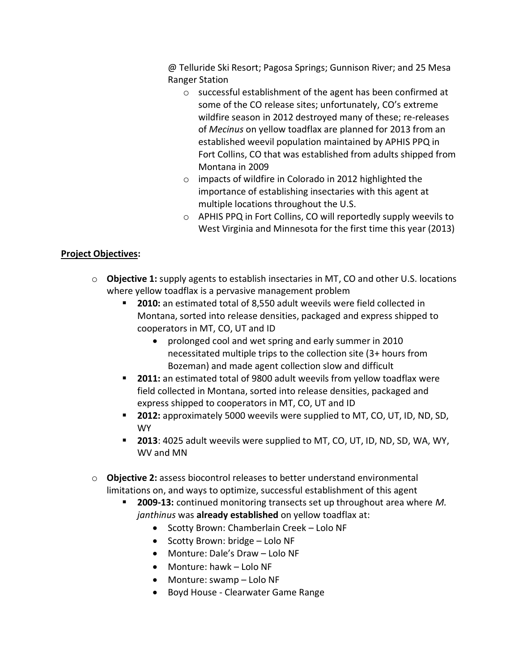@ Telluride Ski Resort; Pagosa Springs; Gunnison River; and 25 Mesa Ranger Station

- o successful establishment of the agent has been confirmed at some of the CO release sites; unfortunately, CO's extreme wildfire season in 2012 destroyed many of these; re-releases of *Mecinus* on yellow toadflax are planned for 2013 from an established weevil population maintained by APHIS PPQ in Fort Collins, CO that was established from adults shipped from Montana in 2009
- o impacts of wildfire in Colorado in 2012 highlighted the importance of establishing insectaries with this agent at multiple locations throughout the U.S.
- o APHIS PPQ in Fort Collins, CO will reportedly supply weevils to West Virginia and Minnesota for the first time this year (2013)

# **Project Objectives:**

- o **Objective 1:** supply agents to establish insectaries in MT, CO and other U.S. locations where yellow toadflax is a pervasive management problem
	- **2010:** an estimated total of 8,550 adult weevils were field collected in Montana, sorted into release densities, packaged and express shipped to cooperators in MT, CO, UT and ID
		- prolonged cool and wet spring and early summer in 2010 necessitated multiple trips to the collection site (3+ hours from Bozeman) and made agent collection slow and difficult
	- **2011:** an estimated total of 9800 adult weevils from yellow toadflax were field collected in Montana, sorted into release densities, packaged and express shipped to cooperators in MT, CO, UT and ID
	- **2012:** approximately 5000 weevils were supplied to MT, CO, UT, ID, ND, SD, WY
	- **2013**: 4025 adult weevils were supplied to MT, CO, UT, ID, ND, SD, WA, WY, WV and MN
- o **Objective 2:** assess biocontrol releases to better understand environmental limitations on, and ways to optimize, successful establishment of this agent
	- **2009-13:** continued monitoring transects set up throughout area where *M. janthinus* was **already established** on yellow toadflax at:
		- Scotty Brown: Chamberlain Creek Lolo NF
		- Scotty Brown: bridge Lolo NF
		- Monture: Dale's Draw Lolo NF
		- Monture: hawk Lolo NF
		- Monture: swamp Lolo NF
		- Boyd House Clearwater Game Range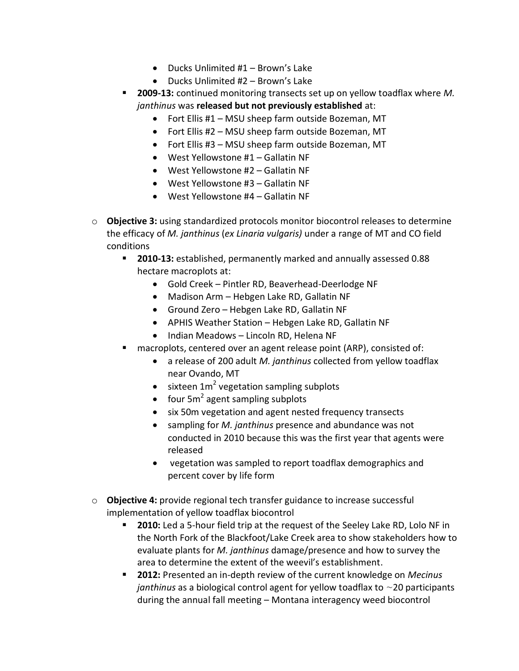- $\bullet$  Ducks Unlimited #1 Brown's Lake
- Ducks Unlimited #2 Brown's Lake
- **2009-13:** continued monitoring transects set up on yellow toadflax where *M. janthinus* was **released but not previously established** at:
	- Fort Ellis #1 MSU sheep farm outside Bozeman, MT
	- Fort Ellis #2 MSU sheep farm outside Bozeman, MT
	- Fort Ellis #3 MSU sheep farm outside Bozeman, MT
	- West Yellowstone #1 Gallatin NF
	- West Yellowstone #2 Gallatin NF
	- West Yellowstone #3 Gallatin NF
	- West Yellowstone #4 Gallatin NF
- o **Objective 3:** using standardized protocols monitor biocontrol releases to determine the efficacy of *M. janthinus* (*ex Linaria vulgaris)* under a range of MT and CO field conditions
	- **2010-13:** established, permanently marked and annually assessed 0.88 hectare macroplots at:
		- Gold Creek Pintler RD, Beaverhead-Deerlodge NF
		- Madison Arm Hebgen Lake RD, Gallatin NF
		- Ground Zero Hebgen Lake RD, Gallatin NF
		- APHIS Weather Station Hebgen Lake RD, Gallatin NF
		- Indian Meadows Lincoln RD, Helena NF
	- macroplots, centered over an agent release point (ARP), consisted of:
		- a release of 200 adult *M. janthinus* collected from yellow toadflax near Ovando, MT
		- sixteen  $1m^2$  vegetation sampling subplots
		- four  $5m^2$  agent sampling subplots
		- six 50m vegetation and agent nested frequency transects
		- sampling for *M. janthinus* presence and abundance was not conducted in 2010 because this was the first year that agents were released
		- vegetation was sampled to report toadflax demographics and percent cover by life form
- o **Objective 4:** provide regional tech transfer guidance to increase successful implementation of yellow toadflax biocontrol
	- **2010:** Led a 5-hour field trip at the request of the Seeley Lake RD, Lolo NF in the North Fork of the Blackfoot/Lake Creek area to show stakeholders how to evaluate plants for *M. janthinus* damage/presence and how to survey the area to determine the extent of the weevil's establishment.
	- **2012:** Presented an in-depth review of the current knowledge on *Mecinus janthinus* as a biological control agent for yellow toadflax to ~20 participants during the annual fall meeting – Montana interagency weed biocontrol